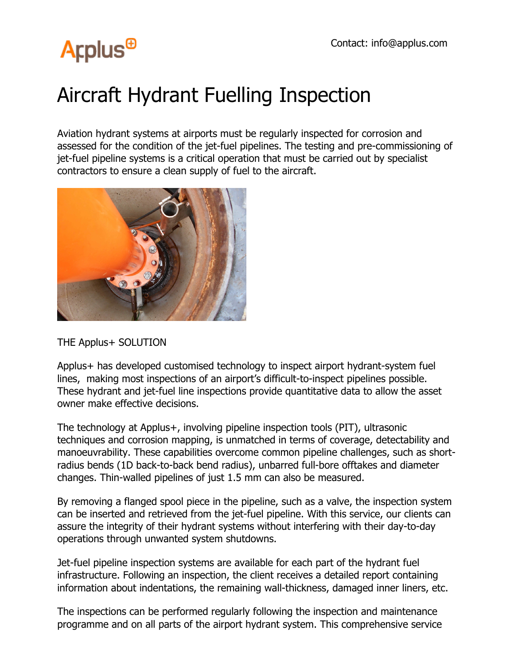# **Arplus<sup>®</sup>**

### Aircraft Hydrant Fuelling Inspection

Aviation hydrant systems at airports must be regularly inspected for corrosion and assessed for the condition of the jet-fuel pipelines. The testing and pre-commissioning of jet-fuel pipeline systems is a critical operation that must be carried out by specialist contractors to ensure a clean supply of fuel to the aircraft.



THE Applus+ SOLUTION

Applus+ has developed customised technology to inspect airport hydrant-system fuel lines, making most inspections of an airport's difficult-to-inspect pipelines possible. These hydrant and jet-fuel line inspections provide quantitative data to allow the asset owner make effective decisions.

The technology at Applus+, involving pipeline inspection tools (PIT), ultrasonic techniques and corrosion mapping, is unmatched in terms of coverage, detectability and manoeuvrability. These capabilities overcome common pipeline challenges, such as shortradius bends (1D back-to-back bend radius), unbarred full-bore offtakes and diameter changes. Thin-walled pipelines of just 1.5 mm can also be measured.

By removing a flanged spool piece in the pipeline, such as a valve, the inspection system can be inserted and retrieved from the jet-fuel pipeline. With this service, our clients can assure the integrity of their hydrant systems without interfering with their day-to-day operations through unwanted system shutdowns.

Jet-fuel pipeline inspection systems are available for each part of the hydrant fuel infrastructure. Following an inspection, the client receives a detailed report containing information about indentations, the remaining wall-thickness, damaged inner liners, etc.

The inspections can be performed regularly following the inspection and maintenance programme and on all parts of the airport hydrant system. This comprehensive service